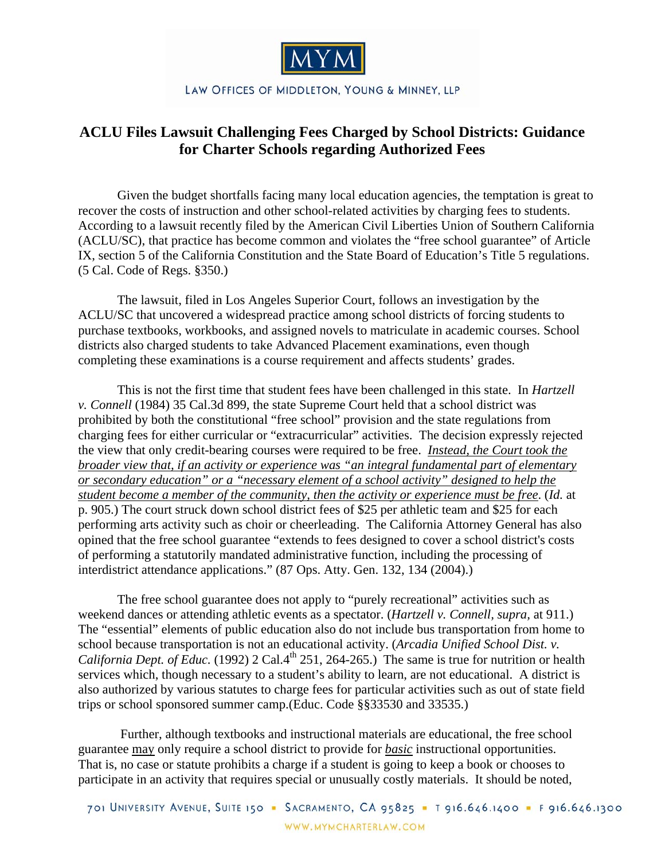

## LAW OFFICES OF MIDDLETON, YOUNG & MINNEY, LLP

## **ACLU Files Lawsuit Challenging Fees Charged by School Districts: Guidance for Charter Schools regarding Authorized Fees**

 Given the budget shortfalls facing many local education agencies, the temptation is great to recover the costs of instruction and other school-related activities by charging fees to students. According to a lawsuit recently filed by the American Civil Liberties Union of Southern California (ACLU/SC), that practice has become common and violates the "free school guarantee" of Article IX, section 5 of the California Constitution and the State Board of Education's Title 5 regulations. (5 Cal. Code of Regs. §350.)

The lawsuit, filed in Los Angeles Superior Court, follows an investigation by the ACLU/SC that uncovered a widespread practice among school districts of forcing students to purchase textbooks, workbooks, and assigned novels to matriculate in academic courses. School districts also charged students to take Advanced Placement examinations, even though completing these examinations is a course requirement and affects students' grades.

 This is not the first time that student fees have been challenged in this state. In *Hartzell v. Connell* (1984) 35 Cal.3d 899, the state Supreme Court held that a school district was prohibited by both the constitutional "free school" provision and the state regulations from charging fees for either curricular or "extracurricular" activities. The decision expressly rejected the view that only credit-bearing courses were required to be free. *Instead, the Court took the broader view that, if an activity or experience was "an integral fundamental part of elementary or secondary education" or a "necessary element of a school activity" designed to help the student become a member of the community, then the activity or experience must be free*. (*Id.* at p. 905.) The court struck down school district fees of \$25 per athletic team and \$25 for each performing arts activity such as choir or cheerleading. The California Attorney General has also opined that the free school guarantee "extends to fees designed to cover a school district's costs of performing a statutorily mandated administrative function, including the processing of interdistrict attendance applications." (87 Ops. Atty. Gen. 132, 134 (2004).)

 The free school guarantee does not apply to "purely recreational" activities such as weekend dances or attending athletic events as a spectator. (*Hartzell v. Connell, supra,* at 911.) The "essential" elements of public education also do not include bus transportation from home to school because transportation is not an educational activity. (*Arcadia Unified School Dist. v. California Dept. of Educ.* (1992) 2 Cal.4<sup>th</sup> 251, 264-265.) The same is true for nutrition or health services which, though necessary to a student's ability to learn, are not educational. A district is also authorized by various statutes to charge fees for particular activities such as out of state field trips or school sponsored summer camp.(Educ. Code §§33530 and 33535.)

 Further, although textbooks and instructional materials are educational, the free school guarantee may only require a school district to provide for *basic* instructional opportunities. That is, no case or statute prohibits a charge if a student is going to keep a book or chooses to participate in an activity that requires special or unusually costly materials. It should be noted,